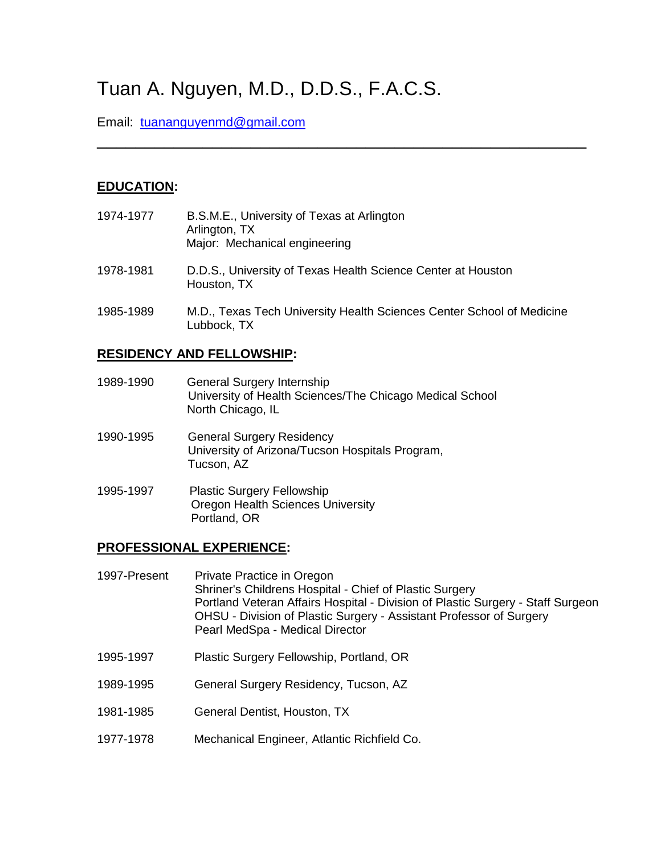# Tuan A. Nguyen, M.D., D.D.S., F.A.C.S.

Email: [tuananguyenmd@gmail.com](mailto:plasticdocnguyen@gmail.com)

# **EDUCATION:**

| 1974-1977 | B.S.M.E., University of Texas at Arlington<br>Arlington, TX<br>Major: Mechanical engineering |
|-----------|----------------------------------------------------------------------------------------------|
| 1978-1981 | D.D.S., University of Texas Health Science Center at Houston<br>Houston, TX                  |
| 1985-1989 | M.D., Texas Tech University Health Sciences Center School of Medicine<br>Lubbock, TX         |

\_\_\_\_\_\_\_\_\_\_\_\_\_\_\_\_\_\_\_\_\_\_\_\_\_\_\_\_\_\_\_\_\_\_\_\_\_\_\_\_\_\_\_\_\_\_\_\_\_\_\_

## **RESIDENCY AND FELLOWSHIP:**

| 1989-1990 | <b>General Surgery Internship</b><br>University of Health Sciences/The Chicago Medical School<br>North Chicago, IL |
|-----------|--------------------------------------------------------------------------------------------------------------------|
| 1990-1995 | <b>General Surgery Residency</b><br>University of Arizona/Tucson Hospitals Program,<br>Tucson, AZ                  |
| 1995-1997 | <b>Plastic Surgery Fellowship</b><br><b>Oregon Health Sciences University</b><br>Portland, OR                      |

## **PROFESSIONAL EXPERIENCE:**

| 1997-Present | Private Practice in Oregon<br>Shriner's Childrens Hospital - Chief of Plastic Surgery<br>Portland Veteran Affairs Hospital - Division of Plastic Surgery - Staff Surgeon<br>OHSU - Division of Plastic Surgery - Assistant Professor of Surgery<br>Pearl MedSpa - Medical Director |
|--------------|------------------------------------------------------------------------------------------------------------------------------------------------------------------------------------------------------------------------------------------------------------------------------------|
| 1995-1997    | Plastic Surgery Fellowship, Portland, OR                                                                                                                                                                                                                                           |
| 1989-1995    | General Surgery Residency, Tucson, AZ                                                                                                                                                                                                                                              |
| 1981-1985    | General Dentist, Houston, TX                                                                                                                                                                                                                                                       |
| 1977-1978    | Mechanical Engineer, Atlantic Richfield Co.                                                                                                                                                                                                                                        |